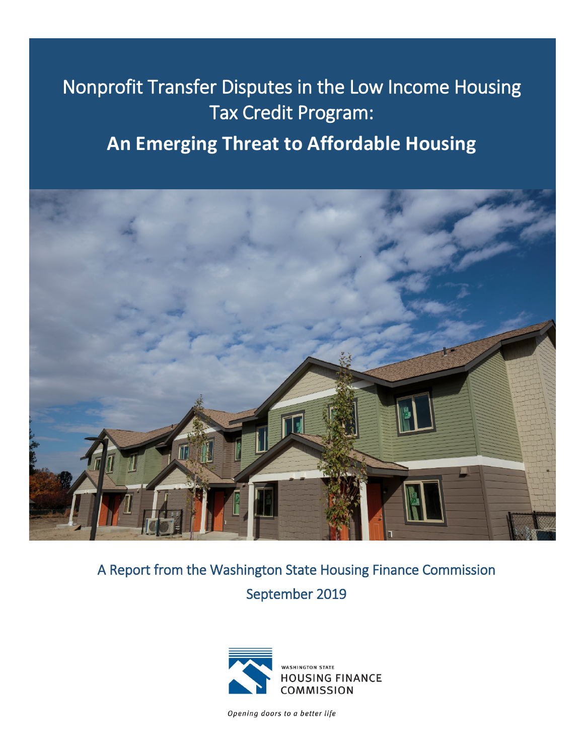# Nonprofit Transfer Disputes in the Low Income Housing Tax Credit Program: **An Emerging Threat to Affordable Housing**



A Report from the Washington State Housing Finance Commission September 2019



Opening doors to a better life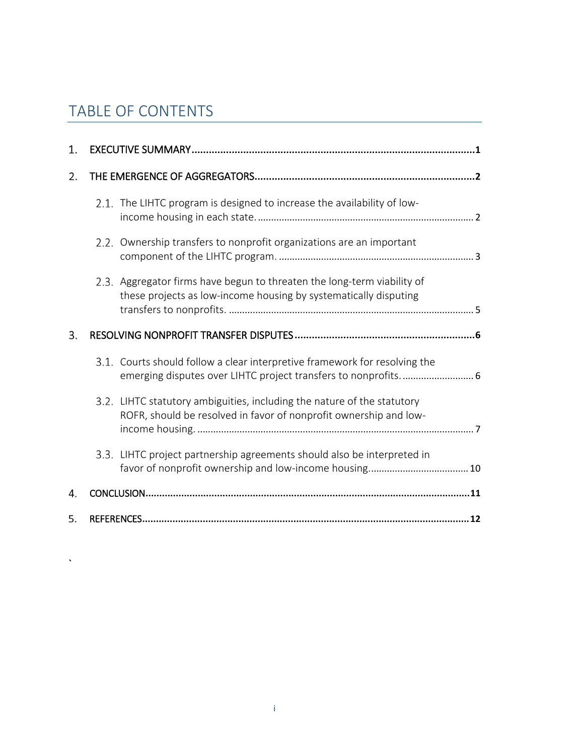# TABLE OF CONTENTS

 $\sqrt{2}$ 

| 1. |                                                                                                                                              |
|----|----------------------------------------------------------------------------------------------------------------------------------------------|
| 2. |                                                                                                                                              |
|    | 2.1. The LIHTC program is designed to increase the availability of low-                                                                      |
|    | 2.2. Ownership transfers to nonprofit organizations are an important                                                                         |
|    | 2.3. Aggregator firms have begun to threaten the long-term viability of<br>these projects as low-income housing by systematically disputing  |
| 3. |                                                                                                                                              |
|    | 3.1. Courts should follow a clear interpretive framework for resolving the<br>emerging disputes over LIHTC project transfers to nonprofits 6 |
|    | 3.2. LIHTC statutory ambiguities, including the nature of the statutory<br>ROFR, should be resolved in favor of nonprofit ownership and low- |
|    | 3.3. LIHTC project partnership agreements should also be interpreted in                                                                      |
| 4. |                                                                                                                                              |
| 5. |                                                                                                                                              |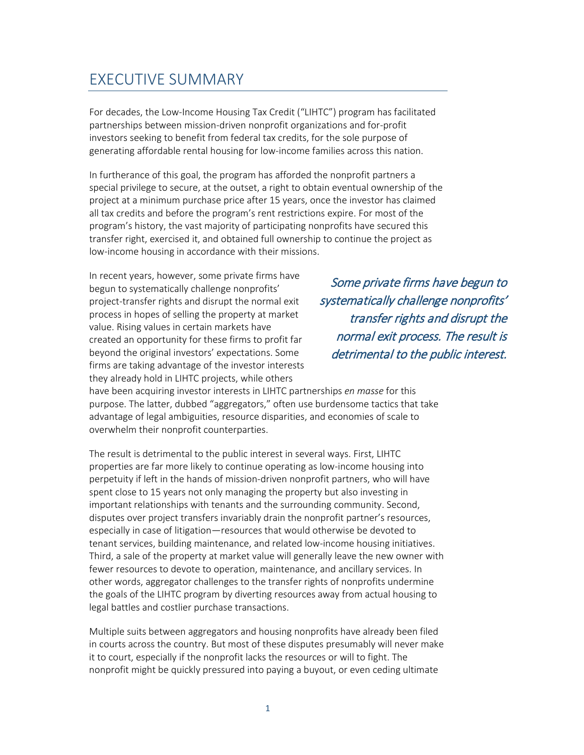# <span id="page-2-0"></span>EXECUTIVE SUMMARY

For decades, the Low-Income Housing Tax Credit ("LIHTC") program has facilitated partnerships between mission-driven nonprofit organizations and for-profit investors seeking to benefit from federal tax credits, for the sole purpose of generating affordable rental housing for low-income families across this nation.

In furtherance of this goal, the program has afforded the nonprofit partners a special privilege to secure, at the outset, a right to obtain eventual ownership of the project at a minimum purchase price after 15 years, once the investor has claimed all tax credits and before the program's rent restrictions expire. For most of the program's history, the vast majority of participating nonprofits have secured this transfer right, exercised it, and obtained full ownership to continue the project as low-income housing in accordance with their missions.

In recent years, however, some private firms have begun to systematically challenge nonprofits' project-transfer rights and disrupt the normal exit process in hopes of selling the property at market value. Rising values in certain markets have created an opportunity for these firms to profit far beyond the original investors' expectations. Some firms are taking advantage of the investor interests they already hold in LIHTC projects, while others

Some private firms have begun to systematically challenge nonprofits' transfer rights and disrupt the normal exit process. The result is detrimental to the public interest.

have been acquiring investor interests in LIHTC partnerships *en masse* for this purpose. The latter, dubbed "aggregators," often use burdensome tactics that take advantage of legal ambiguities, resource disparities, and economies of scale to overwhelm their nonprofit counterparties.

The result is detrimental to the public interest in several ways. First, LIHTC properties are far more likely to continue operating as low-income housing into perpetuity if left in the hands of mission-driven nonprofit partners, who will have spent close to 15 years not only managing the property but also investing in important relationships with tenants and the surrounding community. Second, disputes over project transfers invariably drain the nonprofit partner's resources, especially in case of litigation—resources that would otherwise be devoted to tenant services, building maintenance, and related low-income housing initiatives. Third, a sale of the property at market value will generally leave the new owner with fewer resources to devote to operation, maintenance, and ancillary services. In other words, aggregator challenges to the transfer rights of nonprofits undermine the goals of the LIHTC program by diverting resources away from actual housing to legal battles and costlier purchase transactions.

Multiple suits between aggregators and housing nonprofits have already been filed in courts across the country. But most of these disputes presumably will never make it to court, especially if the nonprofit lacks the resources or will to fight. The nonprofit might be quickly pressured into paying a buyout, or even ceding ultimate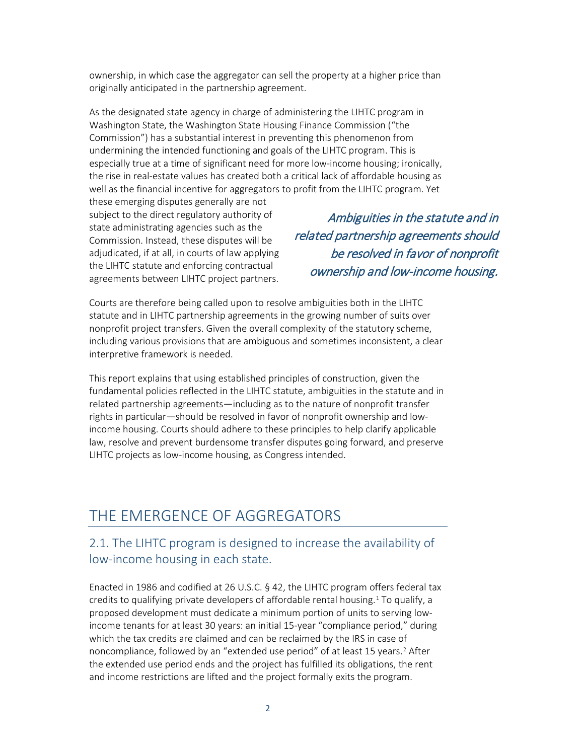ownership, in which case the aggregator can sell the property at a higher price than originally anticipated in the partnership agreement.

As the designated state agency in charge of administering the LIHTC program in Washington State, the Washington State Housing Finance Commission ("the Commission") has a substantial interest in preventing this phenomenon from undermining the intended functioning and goals of the LIHTC program. This is especially true at a time of significant need for more low-income housing; ironically, the rise in real-estate values has created both a critical lack of affordable housing as well as the financial incentive for aggregators to profit from the LIHTC program. Yet

these emerging disputes generally are not subject to the direct regulatory authority of state administrating agencies such as the Commission. Instead, these disputes will be adjudicated, if at all, in courts of law applying the LIHTC statute and enforcing contractual agreements between LIHTC project partners.

Ambiguities in the statute and in related partnership agreements should be resolved in favor of nonprofit ownership and low-income housing.

Courts are therefore being called upon to resolve ambiguities both in the LIHTC statute and in LIHTC partnership agreements in the growing number of suits over nonprofit project transfers. Given the overall complexity of the statutory scheme, including various provisions that are ambiguous and sometimes inconsistent, a clear interpretive framework is needed.

This report explains that using established principles of construction, given the fundamental policies reflected in the LIHTC statute, ambiguities in the statute and in related partnership agreements—including as to the nature of nonprofit transfer rights in particular—should be resolved in favor of nonprofit ownership and lowincome housing. Courts should adhere to these principles to help clarify applicable law, resolve and prevent burdensome transfer disputes going forward, and preserve LIHTC projects as low-income housing, as Congress intended.

# <span id="page-3-0"></span>THE EMERGENCE OF AGGREGATORS

#### <span id="page-3-1"></span>2.1. The LIHTC program is designed to increase the availability of low-income housing in each state.

Enacted in 1986 and codified at 26 U.S.C. § 42, the LIHTC program offers federal tax credits to qualifying private developers of affordable rental housing. [1](#page-14-0) To qualify, a proposed development must dedicate a minimum portion of units to serving lowincome tenants for at least 30 years: an initial 15-year "compliance period," during which the tax credits are claimed and can be reclaimed by the IRS in case of noncompliance, followed by an "extended use period" of at least 15 years.<sup>[2](#page-14-1)</sup> After the extended use period ends and the project has fulfilled its obligations, the rent and income restrictions are lifted and the project formally exits the program.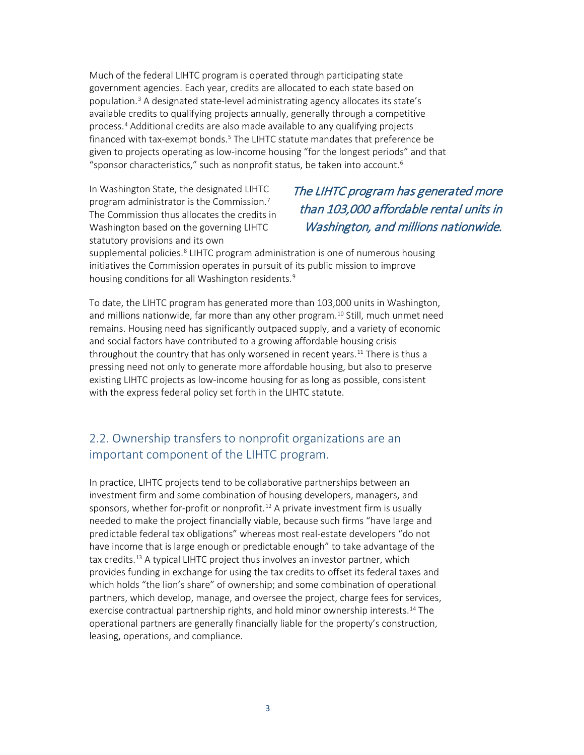Much of the federal LIHTC program is operated through participating state government agencies. Each year, credits are allocated to each state based on population.[3](#page-14-2) A designated state-level administrating agency allocates its state's available credits to qualifying projects annually, generally through a competitive process.[4](#page-14-3) Additional credits are also made available to any qualifying projects financed with tax-exempt bonds.<sup>[5](#page-14-4)</sup> The LIHTC statute mandates that preference be given to projects operating as low-income housing "for the longest periods" and that "sponsor characteristics," such as nonprofit status, be taken into account.<sup>[6](#page-14-5)</sup>

In Washington State, the designated LIHTC program administrator is the Commission.[7](#page-14-6) The Commission thus allocates the credits in Washington based on the governing LIHTC statutory provisions and its own

## The LIHTC program has generated more than 103,000 affordable rental units in Washington, and millions nationwide.

supplemental policies.<sup>[8](#page-14-7)</sup> LIHTC program administration is one of numerous housing initiatives the Commission operates in pursuit of its public mission to improve housing conditions for all Washington residents.<sup>[9](#page-14-8)</sup>

To date, the LIHTC program has generated more than 103,000 units in Washington, and millions nationwide, far more than any other program. [10](#page-14-9) Still, much unmet need remains. Housing need has significantly outpaced supply, and a variety of economic and social factors have contributed to a growing affordable housing crisis throughout the country that has only worsened in recent years.<sup>[11](#page-14-10)</sup> There is thus a pressing need not only to generate more affordable housing, but also to preserve existing LIHTC projects as low-income housing for as long as possible, consistent with the express federal policy set forth in the LIHTC statute.

#### <span id="page-4-0"></span>2.2. Ownership transfers to nonprofit organizations are an important component of the LIHTC program.

In practice, LIHTC projects tend to be collaborative partnerships between an investment firm and some combination of housing developers, managers, and sponsors, whether for-profit or nonprofit. [12](#page-14-11) A private investment firm is usually needed to make the project financially viable, because such firms "have large and predictable federal tax obligations" whereas most real-estate developers "do not have income that is large enough or predictable enough" to take advantage of the tax credits.[13](#page-14-12) A typical LIHTC project thus involves an investor partner, which provides funding in exchange for using the tax credits to offset its federal taxes and which holds "the lion's share" of ownership; and some combination of operational partners, which develop, manage, and oversee the project, charge fees for services, exercise contractual partnership rights, and hold minor ownership interests.[14](#page-14-13) The operational partners are generally financially liable for the property's construction, leasing, operations, and compliance.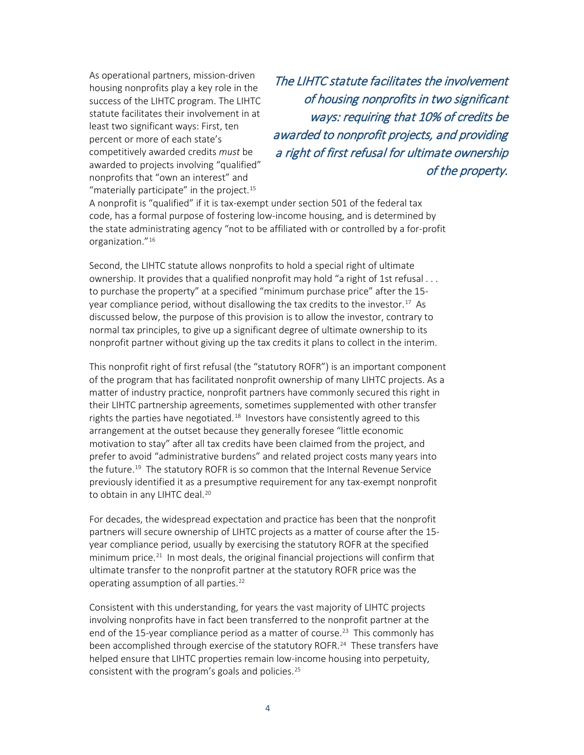As operational partners, mission-driven housing nonprofits play a key role in the success of the LIHTC program. The LIHTC statute facilitates their involvement in at least two significant ways: First, ten percent or more of each state's competitively awarded credits *must* be awarded to projects involving "qualified" nonprofits that "own an interest" and "materially participate" in the project. $15$ 

The LIHTC statute facilitates the involvement of housing nonprofits in two significant ways: requiring that 10% of credits be awarded to nonprofit projects, and providing a right of first refusal for ultimate ownership of the property.

A nonprofit is "qualified" if it is tax-exempt under section 501 of the federal tax code, has a formal purpose of fostering low-income housing, and is determined by the state administrating agency "not to be affiliated with or controlled by a for-profit organization."[16](#page-14-15) 

Second, the LIHTC statute allows nonprofits to hold a special right of ultimate ownership. It provides that a qualified nonprofit may hold "a right of 1st refusal . . . to purchase the property" at a specified "minimum purchase price" after the 15- year compliance period, without disallowing the tax credits to the investor.<sup>[17](#page-14-16)</sup> As discussed below, the purpose of this provision is to allow the investor, contrary to normal tax principles, to give up a significant degree of ultimate ownership to its nonprofit partner without giving up the tax credits it plans to collect in the interim.

This nonprofit right of first refusal (the "statutory ROFR") is an important component of the program that has facilitated nonprofit ownership of many LIHTC projects. As a matter of industry practice, nonprofit partners have commonly secured this right in their LIHTC partnership agreements, sometimes supplemented with other transfer rights the parties have negotiated.<sup>18</sup> Investors have consistently agreed to this arrangement at the outset because they generally foresee "little economic motivation to stay" after all tax credits have been claimed from the project, and prefer to avoid "administrative burdens" and related project costs many years into the future.<sup>[19](#page-14-18)</sup> The statutory ROFR is so common that the Internal Revenue Service previously identified it as a presumptive requirement for any tax-exempt nonprofit to obtain in any LIHTC deal.<sup>[20](#page-14-19)</sup>

For decades, the widespread expectation and practice has been that the nonprofit partners will secure ownership of LIHTC projects as a matter of course after the 15 year compliance period, usually by exercising the statutory ROFR at the specified minimum price.<sup>[21](#page-14-20)</sup> In most deals, the original financial projections will confirm that ultimate transfer to the nonprofit partner at the statutory ROFR price was the operating assumption of all parties.[22](#page-15-0) 

Consistent with this understanding, for years the vast majority of LIHTC projects involving nonprofits have in fact been transferred to the nonprofit partner at the end of the 15-year compliance period as a matter of course.<sup>23</sup> This commonly has been accomplished through exercise of the statutory ROFR.<sup>[24](#page-15-2)</sup> These transfers have helped ensure that LIHTC properties remain low-income housing into perpetuity, consistent with the program's goals and policies.<sup>[25](#page-15-2)</sup>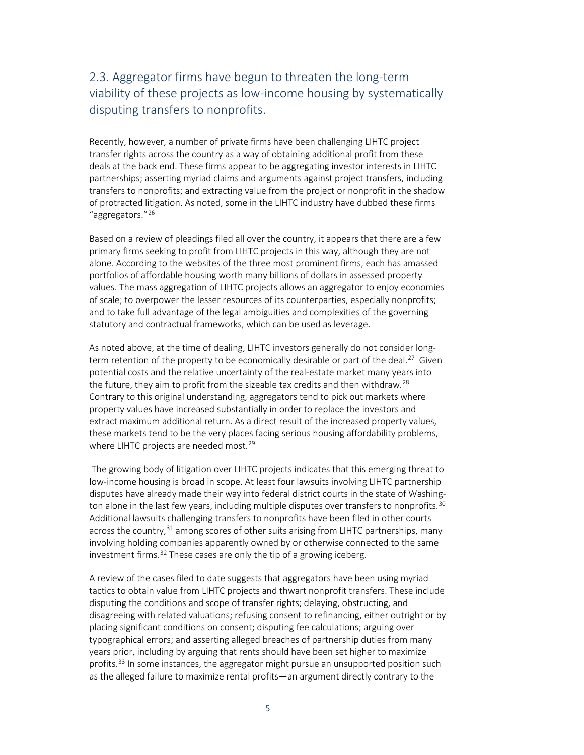## <span id="page-6-0"></span>2.3. Aggregator firms have begun to threaten the long-term viability of these projects as low-income housing by systematically disputing transfers to nonprofits.

Recently, however, a number of private firms have been challenging LIHTC project transfer rights across the country as a way of obtaining additional profit from these deals at the back end. These firms appear to be aggregating investor interests in LIHTC partnerships; asserting myriad claims and arguments against project transfers, including transfers to nonprofits; and extracting value from the project or nonprofit in the shadow of protracted litigation. As noted, some in the LIHTC industry have dubbed these firms "aggregators."[26](#page-15-3)

Based on a review of pleadings filed all over the country, it appears that there are a few primary firms seeking to profit from LIHTC projects in this way, although they are not alone. According to the websites of the three most prominent firms, each has amassed portfolios of affordable housing worth many billions of dollars in assessed property values. The mass aggregation of LIHTC projects allows an aggregator to enjoy economies of scale; to overpower the lesser resources of its counterparties, especially nonprofits; and to take full advantage of the legal ambiguities and complexities of the governing statutory and contractual frameworks, which can be used as leverage.

As noted above, at the time of dealing, LIHTC investors generally do not consider longterm retention of the property to be economically desirable or part of the deal.<sup>27</sup> Given potential costs and the relative uncertainty of the real-estate market many years into the future, they aim to profit from the sizeable tax credits and then withdraw.<sup>[28](#page-15-5)</sup> Contrary to this original understanding, aggregators tend to pick out markets where property values have increased substantially in order to replace the investors and extract maximum additional return. As a direct result of the increased property values, these markets tend to be the very places facing serious housing affordability problems, where LIHTC projects are needed most.<sup>[29](#page-15-6)</sup>

The growing body of litigation over LIHTC projects indicates that this emerging threat to low-income housing is broad in scope. At least four lawsuits involving LIHTC partnership disputes have already made their way into federal district courts in the state of Washing-ton alone in the last few years, including multiple disputes over transfers to nonprofits.<sup>[30](#page-15-7)</sup> Additional lawsuits challenging transfers to nonprofits have been filed in other courts across the country,  $31$  among scores of other suits arising from LIHTC partnerships, many involving holding companies apparently owned by or otherwise connected to the same investment firms. [32](#page-15-9) These cases are only the tip of a growing iceberg.

A review of the cases filed to date suggests that aggregators have been using myriad tactics to obtain value from LIHTC projects and thwart nonprofit transfers. These include disputing the conditions and scope of transfer rights; delaying, obstructing, and disagreeing with related valuations; refusing consent to refinancing, either outright or by placing significant conditions on consent; disputing fee calculations; arguing over typographical errors; and asserting alleged breaches of partnership duties from many years prior, including by arguing that rents should have been set higher to maximize profits.<sup>[33](#page-15-10)</sup> In some instances, the aggregator might pursue an unsupported position such as the alleged failure to maximize rental profits—an argument directly contrary to the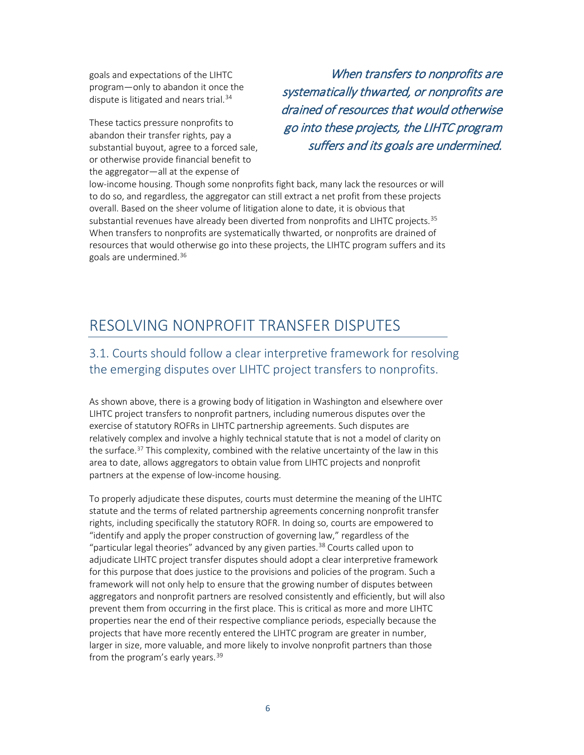<span id="page-7-2"></span>goals and expectations of the LIHTC program—only to abandon it once the dispute is litigated and nears trial.<sup>[34](#page-16-0)</sup>

These tactics pressure nonprofits to abandon their transfer rights, pay a substantial buyout, agree to a forced sale, or otherwise provide financial benefit to the aggregator—all at the expense of

When transfers to nonprofits are systematically thwarted, or nonprofits are drained of resources that would otherwise go into these projects, the LIHTC program suffers and its goals are undermined.

low-income housing. Though some nonprofits fight back, many lack the resources or will to do so, and regardless, the aggregator can still extract a net profit from these projects overall. Based on the sheer volume of litigation alone to date, it is obvious that substantial revenues have already been diverted from nonprofits and LIHTC projects.  $35$ When transfers to nonprofits are systematically thwarted, or nonprofits are drained of resources that would otherwise go into these projects, the LIHTC program suffers and its goals are undermined.<sup>36</sup>

# <span id="page-7-0"></span>RESOLVING NONPROFIT TRANSFER DISPUTES

## <span id="page-7-1"></span>3.1. Courts should follow a clear interpretive framework for resolving the emerging disputes over LIHTC project transfers to nonprofits.

As shown above, there is a growing body of litigation in Washington and elsewhere over LIHTC project transfers to nonprofit partners, including numerous disputes over the exercise of statutory ROFRs in LIHTC partnership agreements. Such disputes are relatively complex and involve a highly technical statute that is not a model of clarity on the surface.<sup>[37](#page-16-3)</sup> This complexity, combined with the relative uncertainty of the law in this area to date, allows aggregators to obtain value from LIHTC projects and nonprofit partners at the expense of low-income housing.

To properly adjudicate these disputes, courts must determine the meaning of the LIHTC statute and the terms of related partnership agreements concerning nonprofit transfer rights, including specifically the statutory ROFR. In doing so, courts are empowered to "identify and apply the proper construction of governing law," regardless of the "particular legal theories" advanced by any given parties.<sup>[38](#page-16-4)</sup> Courts called upon to adjudicate LIHTC project transfer disputes should adopt a clear interpretive framework for this purpose that does justice to the provisions and policies of the program. Such a framework will not only help to ensure that the growing number of disputes between aggregators and nonprofit partners are resolved consistently and efficiently, but will also prevent them from occurring in the first place. This is critical as more and more LIHTC properties near the end of their respective compliance periods, especially because the projects that have more recently entered the LIHTC program are greater in number, larger in size, more valuable, and more likely to involve nonprofit partners than those from the program's early years.<sup>39</sup>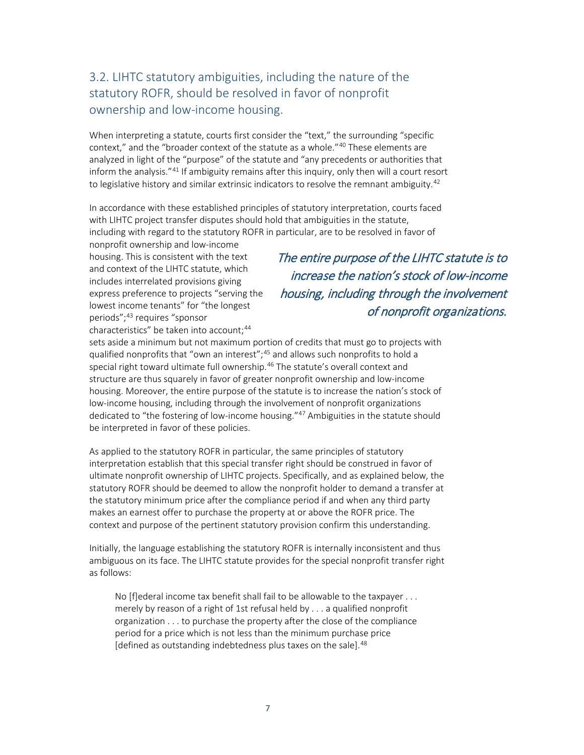## 3.2. LIHTC statutory ambiguities, including the nature of the statutory ROFR, should be resolved in favor of nonprofit ownership and low-income housing.

When interpreting a statute, courts first consider the "text," the surrounding "specific context," and the "broader context of the statute as a whole."<sup>[40](#page-16-6)</sup> These elements are analyzed in light of the "purpose" of the statute and "any precedents or authorities that inform the analysis."[41](#page-16-7) If ambiguity remains after this inquiry, only then will a court resort to legislative history and similar extrinsic indicators to resolve the remnant ambiguity.<sup>42</sup>

In accordance with these established principles of statutory interpretation, courts faced with LIHTC project transfer disputes should hold that ambiguities in the statute, including with regard to the statutory ROFR in particular, are to be resolved in favor of

nonprofit ownership and low-income housing. This is consistent with the text and context of the LIHTC statute, which includes interrelated provisions giving express preference to projects "serving the lowest income tenants" for "the longest periods";<sup>[43](#page-16-9)</sup> requires "sponsor characteristics" be taken into account;<sup>[44](#page-16-10)</sup>

The entire purpose of the LIHTC statute is to increase the nation's stock of low-income housing, including through the involvement of nonprofit organizations.

sets aside a minimum but not maximum portion of credits that must go to projects with qualified nonprofits that "own an interest";<sup>[45](#page-16-11)</sup> and allows such nonprofits to hold a special right toward ultimate full ownership.<sup>[46](#page-16-12)</sup> The statute's overall context and structure are thus squarely in favor of greater nonprofit ownership and low-income housing. Moreover, the entire purpose of the statute is to increase the nation's stock of low-income housing, including through the involvement of nonprofit organizations dedicated to "the fostering of low-income housing."<sup>[47](#page-16-13)</sup> Ambiguities in the statute should be interpreted in favor of these policies.

As applied to the statutory ROFR in particular, the same principles of statutory interpretation establish that this special transfer right should be construed in favor of ultimate nonprofit ownership of LIHTC projects. Specifically, and as explained below, the statutory ROFR should be deemed to allow the nonprofit holder to demand a transfer at the statutory minimum price after the compliance period if and when any third party makes an earnest offer to purchase the property at or above the ROFR price. The context and purpose of the pertinent statutory provision confirm this understanding.

Initially, the language establishing the statutory ROFR is internally inconsistent and thus ambiguous on its face. The LIHTC statute provides for the special nonprofit transfer right as follows:

No [f]ederal income tax benefit shall fail to be allowable to the taxpayer . . . merely by reason of a right of 1st refusal held by . . . a qualified nonprofit organization . . . to purchase the property after the close of the compliance period for a price which is not less than the minimum purchase price [defined as outstanding indebtedness plus taxes on the sale].<sup>[48](#page-16-14)</sup>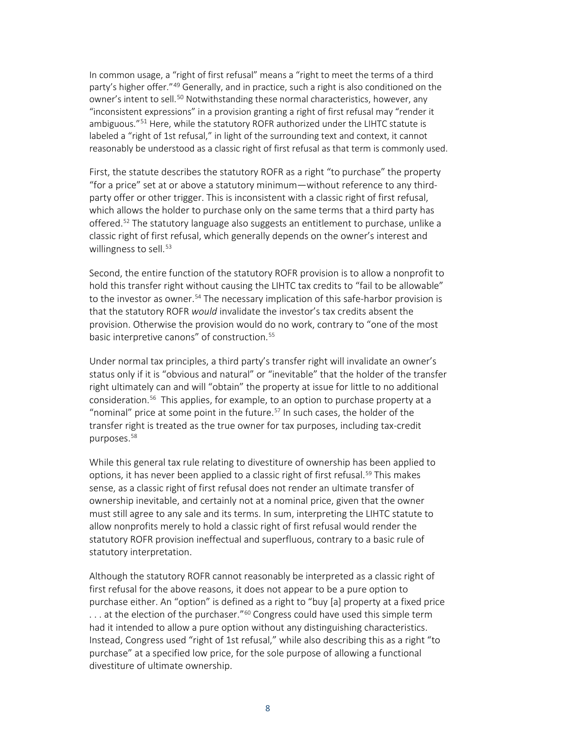In common usage, a "right of first refusal" means a "right to meet the terms of a third party's higher offer."<sup>[49](#page-16-15)</sup> Generally, and in practice, such a right is also conditioned on the owner's intent to sell.<sup>[50](#page-16-16)</sup> Notwithstanding these normal characteristics, however, any "inconsistent expressions" in a provision granting a right of first refusal may "render it ambiguous."<sup>51</sup> Here, while the statutory ROFR authorized under the LIHTC statute is labeled a "right of 1st refusal," in light of the surrounding text and context, it cannot reasonably be understood as a classic right of first refusal as that term is commonly used.

First, the statute describes the statutory ROFR as a right "to purchase" the property "for a price" set at or above a statutory minimum—without reference to any thirdparty offer or other trigger. This is inconsistent with a classic right of first refusal, which allows the holder to purchase only on the same terms that a third party has offered[.52](#page-16-18) The statutory language also suggests an entitlement to purchase, unlike a classic right of first refusal, which generally depends on the owner's interest and willingness to sell. $53$ 

Second, the entire function of the statutory ROFR provision is to allow a nonprofit to hold this transfer right without causing the LIHTC tax credits to "fail to be allowable" to the investor as owner.<sup>54</sup> The necessary implication of this safe-harbor provision is that the statutory ROFR *would* invalidate the investor's tax credits absent the provision. Otherwise the provision would do no work, contrary to "one of the most basic interpretive canons" of construction.<sup>[55](#page-16-21)</sup>

Under normal tax principles, a third party's transfer right will invalidate an owner's status only if it is "obvious and natural" or "inevitable" that the holder of the transfer right ultimately can and will "obtain" the property at issue for little to no additional consideration.[56](#page-16-22) This applies, for example, to an option to purchase property at a "nominal" price at some point in the future.<sup>[57](#page-16-23)</sup> In such cases, the holder of the transfer right is treated as the true owner for tax purposes, including tax-credit purposes.<sup>58</sup>

While this general tax rule relating to divestiture of ownership has been applied to options, it has never been applied to a classic right of first refusal.<sup>[59](#page-16-25)</sup> This makes sense, as a classic right of first refusal does not render an ultimate transfer of ownership inevitable, and certainly not at a nominal price, given that the owner must still agree to any sale and its terms. In sum, interpreting the LIHTC statute to allow nonprofits merely to hold a classic right of first refusal would render the statutory ROFR provision ineffectual and superfluous, contrary to a basic rule of statutory interpretation.

Although the statutory ROFR cannot reasonably be interpreted as a classic right of first refusal for the above reasons, it does not appear to be a pure option to purchase either. An "option" is defined as a right to "buy [a] property at a fixed price  $\dots$  at the election of the purchaser."<sup>[60](#page-16-26)</sup> Congress could have used this simple term had it intended to allow a pure option without any distinguishing characteristics. Instead, Congress used "right of 1st refusal," while also describing this as a right "to purchase" at a specified low price, for the sole purpose of allowing a functional divestiture of ultimate ownership.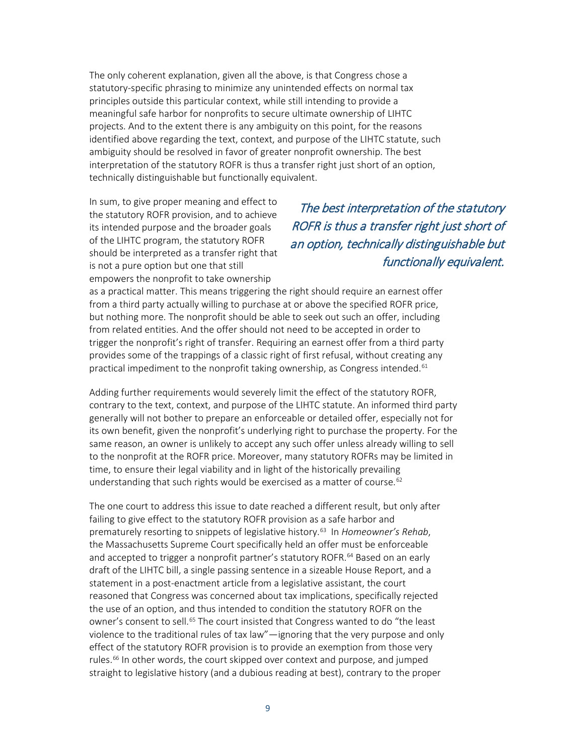The only coherent explanation, given all the above, is that Congress chose a statutory-specific phrasing to minimize any unintended effects on normal tax principles outside this particular context, while still intending to provide a meaningful safe harbor for nonprofits to secure ultimate ownership of LIHTC projects. And to the extent there is any ambiguity on this point, for the reasons identified above regarding the text, context, and purpose of the LIHTC statute, such ambiguity should be resolved in favor of greater nonprofit ownership. The best interpretation of the statutory ROFR is thus a transfer right just short of an option, technically distinguishable but functionally equivalent.

In sum, to give proper meaning and effect to the statutory ROFR provision, and to achieve its intended purpose and the broader goals of the LIHTC program, the statutory ROFR should be interpreted as a transfer right that is not a pure option but one that still empowers the nonprofit to take ownership

## The best interpretation of the statutory ROFR is thus a transfer right just short of an option, technically distinguishable but functionally equivalent.

as a practical matter. This means triggering the right should require an earnest offer from a third party actually willing to purchase at or above the specified ROFR price, but nothing more. The nonprofit should be able to seek out such an offer, including from related entities. And the offer should not need to be accepted in order to trigger the nonprofit's right of transfer. Requiring an earnest offer from a third party provides some of the trappings of a classic right of first refusal, without creating any practical impediment to the nonprofit taking ownership, as Congress intended.<sup>61</sup>

Adding further requirements would severely limit the effect of the statutory ROFR, contrary to the text, context, and purpose of the LIHTC statute. An informed third party generally will not bother to prepare an enforceable or detailed offer, especially not for its own benefit, given the nonprofit's underlying right to purchase the property. For the same reason, an owner is unlikely to accept any such offer unless already willing to sell to the nonprofit at the ROFR price. Moreover, many statutory ROFRs may be limited in time, to ensure their legal viability and in light of the historically prevailing understanding that such rights would be exercised as a matter of course.<sup>[62](#page-16-28)</sup>

The one court to address this issue to date reached a different result, but only after failing to give effect to the statutory ROFR provision as a safe harbor and prematurely resorting to snippets of legislative history.[63](#page-16-29) In *Homeowner's Rehab*, the Massachusetts Supreme Court specifically held an offer must be enforceable and accepted to trigger a nonprofit partner's statutory ROFR.<sup>[64](#page-16-30)</sup> Based on an early draft of the LIHTC bill, a single passing sentence in a sizeable House Report, and a statement in a post-enactment article from a legislative assistant, the court reasoned that Congress was concerned about tax implications, specifically rejected the use of an option, and thus intended to condition the statutory ROFR on the owner's consent to sell.<sup>[65](#page-16-31)</sup> The court insisted that Congress wanted to do "the least violence to the traditional rules of tax law"—ignoring that the very purpose and only effect of the statutory ROFR provision is to provide an exemption from those very rules.<sup>66</sup> In other words, the court skipped over context and purpose, and jumped straight to legislative history (and a dubious reading at best), contrary to the proper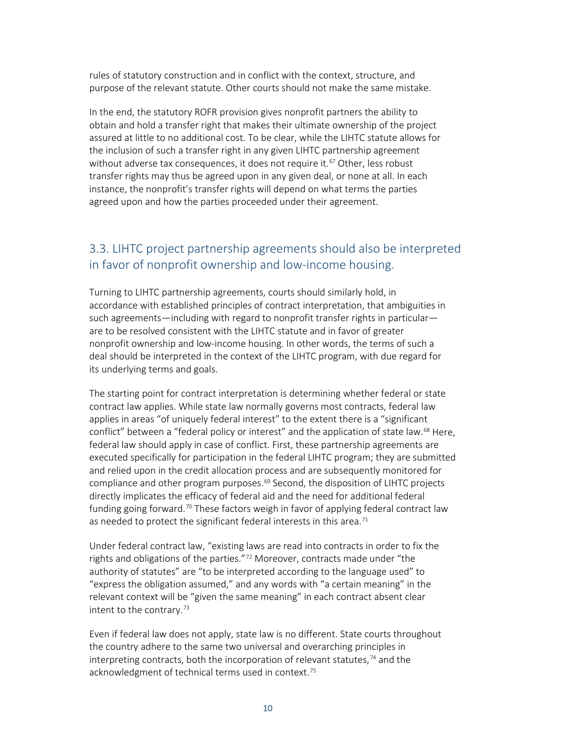rules of statutory construction and in conflict with the context, structure, and purpose of the relevant statute. Other courts should not make the same mistake.

In the end, the statutory ROFR provision gives nonprofit partners the ability to obtain and hold a transfer right that makes their ultimate ownership of the project assured at little to no additional cost. To be clear, while the LIHTC statute allows for the inclusion of such a transfer right in any given LIHTC partnership agreement without adverse tax consequences, it does not require it.<sup>[67](#page-16-33)</sup> Other, less robust transfer rights may thus be agreed upon in any given deal, or none at all. In each instance, the nonprofit's transfer rights will depend on what terms the parties agreed upon and how the parties proceeded under their agreement.

#### <span id="page-11-0"></span>3.3. LIHTC project partnership agreements should also be interpreted in favor of nonprofit ownership and low-income housing.

Turning to LIHTC partnership agreements, courts should similarly hold, in accordance with established principles of contract interpretation, that ambiguities in such agreements—including with regard to nonprofit transfer rights in particular are to be resolved consistent with the LIHTC statute and in favor of greater nonprofit ownership and low-income housing. In other words, the terms of such a deal should be interpreted in the context of the LIHTC program, with due regard for its underlying terms and goals.

The starting point for contract interpretation is determining whether federal or state contract law applies. While state law normally governs most contracts, federal law applies in areas "of uniquely federal interest" to the extent there is a "significant conflict" between a "federal policy or interest" and the application of state law.<sup>[68](#page-16-34)</sup> Here, federal law should apply in case of conflict. First, these partnership agreements are executed specifically for participation in the federal LIHTC program; they are submitted and relied upon in the credit allocation process and are subsequently monitored for compliance and other program purposes.<sup>[69](#page-16-35)</sup> Second, the disposition of LIHTC projects directly implicates the efficacy of federal aid and the need for additional federal funding going forward.<sup>[70](#page-16-36)</sup> These factors weigh in favor of applying federal contract law as needed to protect the significant federal interests in this area.<sup>[71](#page-16-37)</sup>

Under federal contract law, "existing laws are read into contracts in order to fix the rights and obligations of the parties."<sup>[72](#page-16-38)</sup> Moreover, contracts made under "the authority of statutes" are "to be interpreted according to the language used" to "express the obligation assumed," and any words with "a certain meaning" in the relevant context will be "given the same meaning" in each contract absent clear intent to the contrary.[73](#page-16-39) 

Even if federal law does not apply, state law is no different. State courts throughout the country adhere to the same two universal and overarching principles in interpreting contracts, both the incorporation of relevant statutes, $74$  and the acknowledgment of technical terms used in context.<sup>75</sup>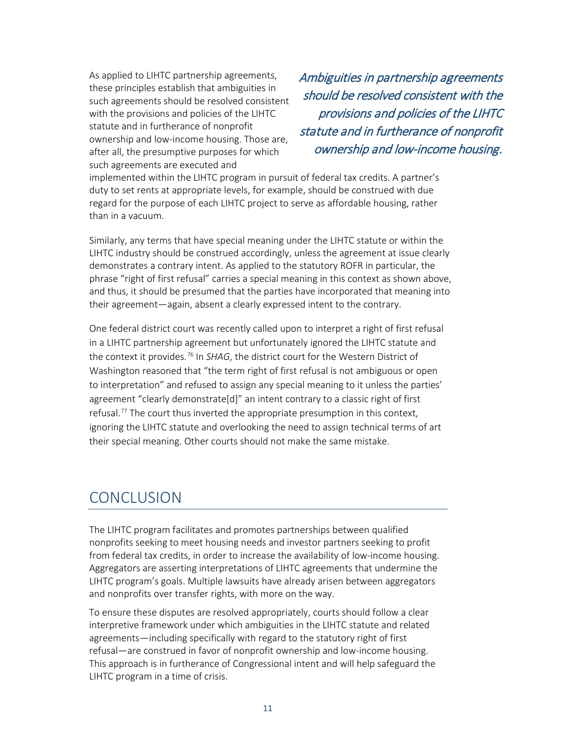As applied to LIHTC partnership agreements, these principles establish that ambiguities in such agreements should be resolved consistent with the provisions and policies of the LIHTC statute and in furtherance of nonprofit ownership and low-income housing. Those are, after all, the presumptive purposes for which such agreements are executed and

Ambiguities in partnership agreements should be resolved consistent with the provisions and policies of the LIHTC statute and in furtherance of nonprofit ownership and low-income housing.

implemented within the LIHTC program in pursuit of federal tax credits. A partner's duty to set rents at appropriate levels, for example, should be construed with due regard for the purpose of each LIHTC project to serve as affordable housing, rather than in a vacuum.

Similarly, any terms that have special meaning under the LIHTC statute or within the LIHTC industry should be construed accordingly, unless the agreement at issue clearly demonstrates a contrary intent. As applied to the statutory ROFR in particular, the phrase "right of first refusal" carries a special meaning in this context as shown above, and thus, it should be presumed that the parties have incorporated that meaning into their agreement—again, absent a clearly expressed intent to the contrary.

One federal district court was recently called upon to interpret a right of first refusal in a LIHTC partnership agreement but unfortunately ignored the LIHTC statute and the context it provides.[76](#page-16-42) In *SHAG*, the district court for the Western District of Washington reasoned that "the term right of first refusal is not ambiguous or open to interpretation" and refused to assign any special meaning to it unless the parties' agreement "clearly demonstrate[d]" an intent contrary to a classic right of first refusal. [77](#page-16-43) The court thus inverted the appropriate presumption in this context, ignoring the LIHTC statute and overlooking the need to assign technical terms of art their special meaning. Other courts should not make the same mistake.

# <span id="page-12-0"></span>**CONCLUSION**

The LIHTC program facilitates and promotes partnerships between qualified nonprofits seeking to meet housing needs and investor partners seeking to profit from federal tax credits, in order to increase the availability of low-income housing. Aggregators are asserting interpretations of LIHTC agreements that undermine the LIHTC program's goals. Multiple lawsuits have already arisen between aggregators and nonprofits over transfer rights, with more on the way.

To ensure these disputes are resolved appropriately, courts should follow a clear interpretive framework under which ambiguities in the LIHTC statute and related agreements—including specifically with regard to the statutory right of first refusal—are construed in favor of nonprofit ownership and low-income housing. This approach is in furtherance of Congressional intent and will help safeguard the LIHTC program in a time of crisis.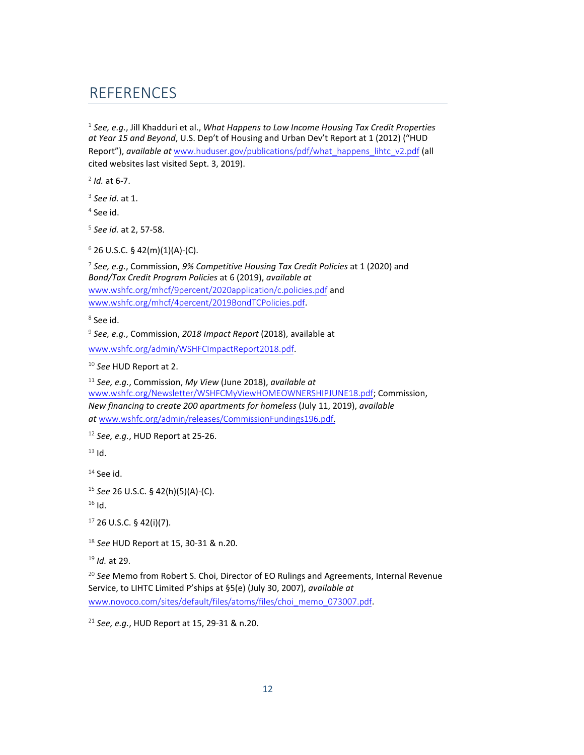# **REFERENCES**

 *See, e.g.*, Jill Khadduri et al., *What Happens to Low Income Housing Tax Credit Properties at Year 15 and Beyond*, U.S. Dep't of Housing and Urban Dev't Report at 1 (2012) ("HUD Report"), *available at* [www.huduser.gov/publications/pdf/what\\_happens\\_lihtc\\_v2.pdf](http://www.huduser.gov/publications/pdf/what_happens_lihtc_v2.pdf) (all cited websites last visited Sept. 3, 2019).

*Id.* at 6-7.

*See id.* at 1.

See id.

*See id.* at 2, 57-58.

26 U.S.C. § 42(m)(1)(A)-(C).

 *See, e.g.*, Commission, *9% Competitive Housing Tax Credit Policies* at 1 (2020) and *Bond/Tax Credit Program Policies* at 6 (2019), *available at* www.wshfc.org/mhcf/9percent/2020application/c.policies.pdf and www.wshfc.org/mhcf/4percent/2019BondTCPolicies.pdf.

See id.

*See, e.g.*[, Commission,](file://pacserv2/client_files/Clients/WA%20State%20Housing%20Finance%20Commission%20() *2018 Impact Report* (2018), available at

[www.wshfc.org/admin/WSHFCImpactReport2018.pdf](file://pacserv2/client_files/Clients/WA%20State%20Housing%20Finance%20Commission%20().

*See* HUD Report at 2.

 *See, e.g.*, Commission, *My View* (June 2018), *available at* [www.wshfc.org/Newsletter/WSHFCMyViewHOMEOWN](file://pacserv2/client_files/Clients/WA%20State%20Housing%20Finance%20Commission%20()ERSHIPJUNE18.pdf; Commission, *New financing to create 200 apartments for homeless* (July 11, 2019), *available at* www.wshfc.org/admin/releases/CommissionFundings196.pdf.

*See, e.g.*[, HUD Report at 25-26.](http://www.wshfc.org/Newsletter/WSHFCMyViewHOMEOWNERSHIPJUNE18.pdf)

[Id.](http://www.wshfc.org/admin/releases/CommissionFundings196.pdf)

See id.

*See* 26 U.S.C. § 42(h)(5)(A)-(C).

Id.

26 U.S.C. § 42(i)(7).

*See* HUD Report at 15, 30-31 & n.20.

*Id.* at 29.

 *See* Memo from Robert S. Choi, Director of EO Rulings and Agreements, Internal Revenue Service, to LIHTC Limited P'ships at §5(e) (July 30, 2007), *available at* www.novoco.com/sites/default/files/atoms/files/choi\_memo\_073007.pdf.

*See, e.g.*, HUD Report at 15, 29-31 & n.20.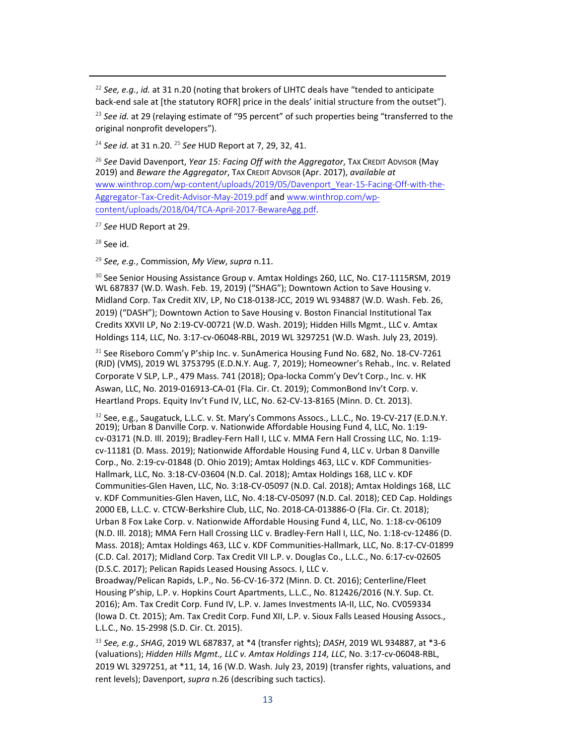<sup>22</sup> *See, e.g.*, *id.* at 31 n.20 (noting that brokers of LIHTC deals have "tended to anticipate back-end sale at [the statutory ROFR] price in the deals' initial structure from the outset").

<sup>23</sup> See id. at 29 (relaying estimate of "95 percent" of such properties being "transferred to the original nonprofit developers").

<sup>24</sup> *See id.* at 31 n.20. <sup>25</sup> *See* HUD Report at 7, 29, 32, 41.

<span id="page-14-0"></span><sup>26</sup> *See* David Davenport, *Year 15: Facing Off with the Aggregator*, TAX CREDIT ADVISOR (May 2019) and *Beware the Aggregator*, TAX CREDIT ADVISOR (Apr. 2017), *available at*  www.winthrop.com/wp-content/uploads/2019/05/Davenport\_Year-15-Facing-Off-with-the-Aggregator-Tax-Credit-Advisor-May-2019.pdf and www.winthrop.com/wpcontent/uploads/2018/04/TCA-April-2017-BewareAgg.pdf.

<span id="page-14-1"></span><sup>27</sup> *See* [HUD Report at 29.](https://www.winthrop.com/wp-content/uploads/2019/05/Davenport_Year-15-Facing-Off-with-the-Aggregator-Tax-Credit-Advisor-May-2019.pdf) 

<span id="page-14-2"></span> $28$  See id.

<span id="page-14-3"></span><sup>29</sup> *See, e.g.*[, Commission,](https://www.winthrop.com/wp-content/uploads/2018/04/TCA-April-2017-BewareAgg.pdf) *My View*, *supra* n.11.

<span id="page-14-6"></span><span id="page-14-5"></span><span id="page-14-4"></span><sup>30</sup> See Senior Housing Assistance Group v. Amtax Holdings 260, LLC, No. C17-1115RSM, 2019 WL 687837 (W.D. Wash. Feb. 19, 2019) ("SHAG"); Downtown Action to Save Housing v. Midland Corp. Tax Credit XIV, LP, No C18-0138-JCC, 2019 WL 934887 (W.D. Wash. Feb. 26, 2019) ("DASH"); Downtown Action to Save Housing v. Boston Financial Institutional Tax Credits XXVII LP, No 2:19-CV-00721 (W.D. Wash. 2019); Hidden Hills Mgmt., LLC v. Amtax Holdings 114, LLC, No. 3:17-cv-06048-RBL, 2019 WL 3297251 (W.D. Wash. July 23, 2019).

<span id="page-14-8"></span><span id="page-14-7"></span><sup>31</sup> See Riseboro Comm'y P'ship Inc. v. SunAmerica Housing Fund No. 682, No. 18-CV-7261 (RJD) (VMS), 2019 WL 3753795 (E.D.N.Y. Aug. 7, 2019); Homeowner's Rehab., Inc. v. Related Corporate V SLP, L.P., 479 Mass. 741 (2018); Opa-locka Comm'y Dev't Corp., Inc. v. HK Aswan, LLC, No. 2019-016913-CA-01 (Fla. Cir. Ct. 2019); CommonBond Inv't Corp. v. Heartland Props. Equity Inv't Fund IV, LLC, No. 62-CV-13-8165 (Minn. D. Ct. 2013).

<span id="page-14-12"></span><span id="page-14-11"></span><span id="page-14-10"></span><span id="page-14-9"></span><sup>32</sup> See, e.g., Saugatuck, L.L.C. v. St. Mary's Commons Assocs., L.L.C., No. 19-CV-217 (E.D.N.Y. 2019); Urban 8 Danville Corp. v. Nationwide Affordable Housing Fund 4, LLC, No. 1:19 cv-03171 (N.D. Ill. 2019); Bradley-Fern Hall I, LLC v. MMA Fern Hall Crossing LLC, No. 1:19 cv-11181 (D. Mass. 2019); Nationwide Affordable Housing Fund 4, LLC v. Urban 8 Danville Corp., No. 2:19-cv-01848 (D. Ohio 2019); Amtax Holdings 463, LLC v. KDF Communities-Hallmark, LLC, No. 3:18-CV-03604 (N.D. Cal. 2018); Amtax Holdings 168, LLC v. KDF Communities-Glen Haven, LLC, No. 3:18-CV-05097 (N.D. Cal. 2018); Amtax Holdings 168, LLC v. KDF Communities-Glen Haven, LLC, No. 4:18-CV-05097 (N.D. Cal. 2018); CED Cap. Holdings 2000 EB, L.L.C. v. CTCW-Berkshire Club, LLC, No. 2018-CA-013886-O (Fla. Cir. Ct. 2018); Urban 8 Fox Lake Corp. v. Nationwide Affordable Housing Fund 4, LLC, No. 1:18-cv-06109 (N.D. Ill. 2018); MMA Fern Hall Crossing LLC v. Bradley-Fern Hall I, LLC, No. 1:18-cv-12486 (D. Mass. 2018); Amtax Holdings 463, LLC v. KDF Communities-Hallmark, LLC, No. 8:17-CV-01899 (C.D. Cal. 2017); Midland Corp. Tax Credit VII L.P. v. Douglas Co., L.L.C., No. 6:17-cv-02605 (D.S.C. 2017); Pelican Rapids Leased Housing Assocs. I, LLC v.

<span id="page-14-18"></span><span id="page-14-17"></span><span id="page-14-16"></span><span id="page-14-15"></span><span id="page-14-14"></span><span id="page-14-13"></span>Broadway/Pelican Rapids, L.P., No. 56-CV-16-372 (Minn. D. Ct. 2016); Centerline/Fleet Housing P'ship, L.P. v. Hopkins Court Apartments, L.L.C., No. 812426/2016 (N.Y. Sup. Ct. 2016); Am. Tax Credit Corp. Fund IV, L.P. v. James Investments IA-II, LLC, No. CV059334 (Iowa D. Ct. 2015); Am. Tax Credit Corp. Fund XII, L.P. v. Sioux Falls Leased Housing Assocs., L.L.C., No. 15-2998 (S.D. Cir. Ct. 2015).

<span id="page-14-20"></span><span id="page-14-19"></span><sup>33</sup> *See, e.g.*, *SHAG*, 2019 WL 687837, at \*4 (transfer rights); *DASH*, 2019 WL 934887, at \*3-6 (valuations); *Hidden Hills Mgmt., LLC v. Amtax Holdings 114, LLC*, No. 3:17-cv-06048-RBL, 2019 WL 3297251, at \*11, 14, 16 (W.D. Wash. July 23, 2019) (transfer rights, valuations, and rent levels); Davenport, *supra* n.26 (describing such tactics).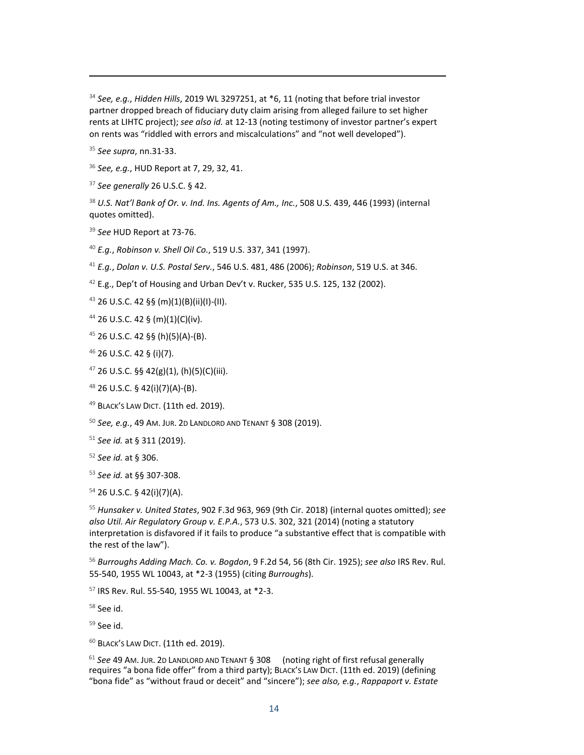*See, e.g.*, *Hidden Hills*, 2019 WL 3297251, at \*6, 11 (noting that before trial investor partner dropped breach of fiduciary duty claim arising from alleged failure to set higher rents at LIHTC project); *see also id.* at 12-13 (noting testimony of investor partner's expert on rents was "riddled with errors and miscalculations" and "not well developed").

<span id="page-15-1"></span><span id="page-15-0"></span>*See supra*, nn.31-33.

*See, e.g.*, HUD Report at 7, 29, 32, 41.

<span id="page-15-2"></span>*See generally* 26 U.S.C. § 42.

<span id="page-15-3"></span> *U.S. Nat'l Bank of Or. v. Ind. Ins. Agents of Am., Inc.*, 508 U.S. 439, 446 (1993) (internal quotes omitted).

*See* HUD Report at 73-76.

*E.g.*, *Robinson v. Shell Oil Co.*, 519 U.S. 337, 341 (1997).

<span id="page-15-4"></span>*E.g.*, *Dolan v. U.S. Postal Serv.*, 546 U.S. 481, 486 (2006); *Robinson*, 519 U.S. at 346.

<span id="page-15-5"></span>E.g., Dep't of Housing and Urban Dev't v. Rucker, 535 U.S. 125, 132 (2002).

<span id="page-15-6"></span>26 U.S.C. 42 §§ (m)(1)(B)(ii)(I)-(II).

<span id="page-15-7"></span>26 U.S.C. 42 § (m)(1)(C)(iv).

26 U.S.C. 42 §§ (h)(5)(A)-(B).

26 U.S.C. 42 § (i)(7).

26 U.S.C. §§ 42(g)(1), (h)(5)(C)(iii).

26 U.S.C. § 42(i)(7)(A)-(B).

<span id="page-15-8"></span>49 BLACK'S LAW DICT. (11th ed. 2019).

*See, e.g.*, 49 AM. JUR. 2D LANDLORD AND TENANT § 308 (2019).

*See id.* at § 311 (2019).

<span id="page-15-9"></span>*See id.* at § 306.

*See id.* at §§ 307-308.

26 U.S.C. § 42(i)(7)(A).

 *Hunsaker v. United States*, 902 F.3d 963, 969 (9th Cir. 2018) (internal quotes omitted); *see also Util. Air Regulatory Group v. E.P.A.*, 573 U.S. 302, 321 (2014) (noting a statutory interpretation is disfavored if it fails to produce "a substantive effect that is compatible with the rest of the law").

 *Burroughs Adding Mach. Co. v. Bogdon*, 9 F.2d 54, 56 (8th Cir. 1925); *see also* IRS Rev. Rul. 55-540, 1955 WL 10043, at \*2-3 (1955) (citing *Burroughs*).

IRS Rev. Rul. 55-540, 1955 WL 10043, at \*2-3.

See id.

See id.

60 BLACK'S LAW DICT. (11th ed. 2019).

<span id="page-15-10"></span> *See* 49 AM. JUR. 2D LANDLORD AND TENANT § 308 (noting right of first refusal generally requires "a bona fide offer" from a third party); BLACK'S LAW DICT. (11th ed. 2019) (defining "bona fide" as "without fraud or deceit" and "sincere"); *see also, e.g.*, *Rappaport v. Estate*